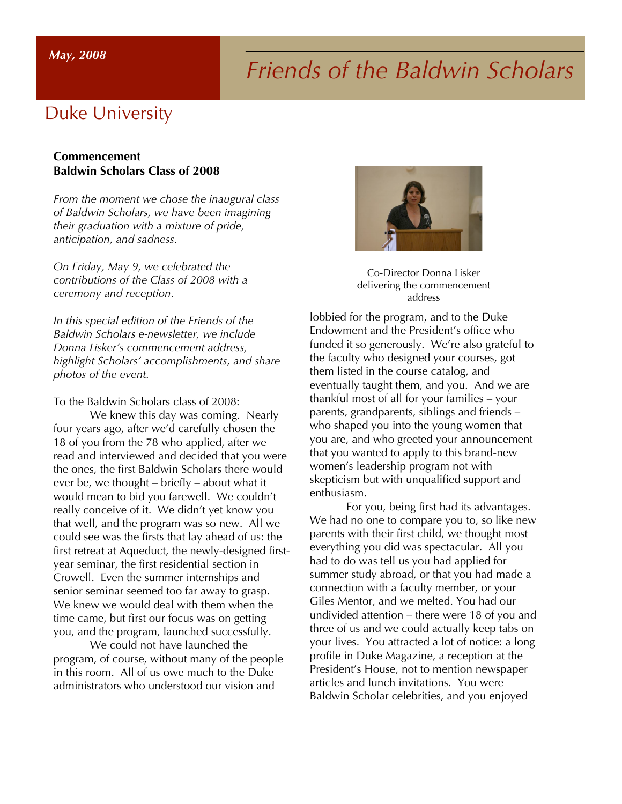## *Friends of the Baldwin Scholars May, 2008*

## Duke University

## **Commencement Baldwin Scholars Class of 2008**

*From the moment we chose the inaugural class of Baldwin Scholars, we have been imagining their graduation with a mixture of pride, anticipation, and sadness.*

*On Friday, May 9, we celebrated the contributions of the Class of 2008 with a ceremony and reception.*

*In this special edition of the Friends of the Baldwin Scholars e-newsletter, we include Donna Lisker's commencement address, highlight Scholars' accomplishments, and share photos of the event.*

To the Baldwin Scholars class of 2008:

We knew this day was coming. Nearly four years ago, after we'd carefully chosen the 18 of you from the 78 who applied, after we read and interviewed and decided that you were the ones, the first Baldwin Scholars there would ever be, we thought – briefly – about what it would mean to bid you farewell. We couldn't really conceive of it. We didn't yet know you that well, and the program was so new. All we could see was the firsts that lay ahead of us: the first retreat at Aqueduct, the newly-designed firstyear seminar, the first residential section in Crowell. Even the summer internships and senior seminar seemed too far away to grasp. We knew we would deal with them when the time came, but first our focus was on getting you, and the program, launched successfully.

We could not have launched the program, of course, without many of the people in this room. All of us owe much to the Duke administrators who understood our vision and



Co-Director Donna Lisker delivering the commencement address

lobbied for the program, and to the Duke Endowment and the President's office who funded it so generously. We're also grateful to the faculty who designed your courses, got them listed in the course catalog, and eventually taught them, and you. And we are thankful most of all for your families – your parents, grandparents, siblings and friends – who shaped you into the young women that you are, and who greeted your announcement that you wanted to apply to this brand-new women's leadership program not with skepticism but with unqualified support and enthusiasm.

For you, being first had its advantages. We had no one to compare you to, so like new parents with their first child, we thought most everything you did was spectacular. All you had to do was tell us you had applied for summer study abroad, or that you had made a connection with a faculty member, or your Giles Mentor, and we melted. You had our undivided attention – there were 18 of you and three of us and we could actually keep tabs on your lives. You attracted a lot of notice: a long profile in Duke Magazine, a reception at the President's House, not to mention newspaper articles and lunch invitations. You were Baldwin Scholar celebrities, and you enjoyed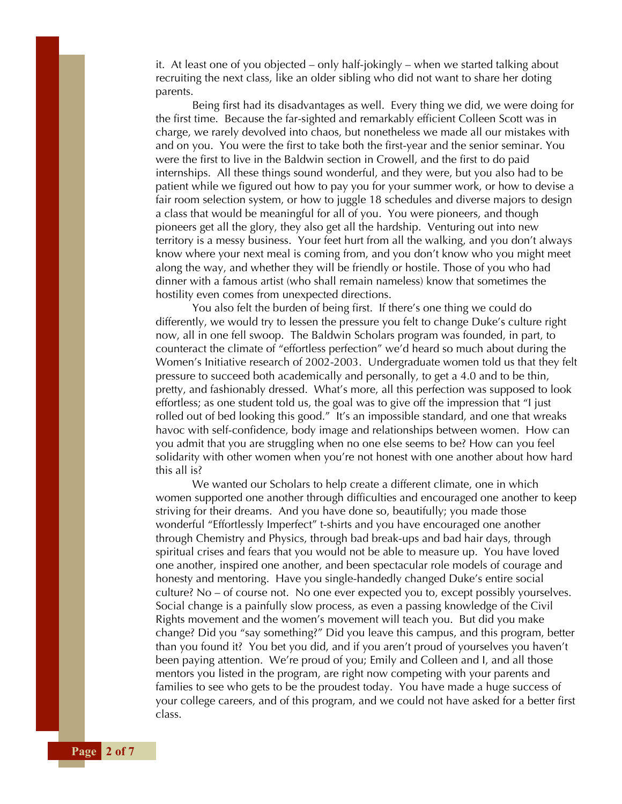it. At least one of you objected – only half-jokingly – when we started talking about recruiting the next class, like an older sibling who did not want to share her doting parents.

Being first had its disadvantages as well. Every thing we did, we were doing for the first time. Because the far-sighted and remarkably efficient Colleen Scott was in charge, we rarely devolved into chaos, but nonetheless we made all our mistakes with and on you. You were the first to take both the first-year and the senior seminar. You were the first to live in the Baldwin section in Crowell, and the first to do paid internships. All these things sound wonderful, and they were, but you also had to be patient while we figured out how to pay you for your summer work, or how to devise a fair room selection system, or how to juggle 18 schedules and diverse majors to design a class that would be meaningful for all of you. You were pioneers, and though pioneers get all the glory, they also get all the hardship. Venturing out into new territory is a messy business. Your feet hurt from all the walking, and you don't always know where your next meal is coming from, and you don't know who you might meet along the way, and whether they will be friendly or hostile. Those of you who had dinner with a famous artist (who shall remain nameless) know that sometimes the hostility even comes from unexpected directions.

You also felt the burden of being first. If there's one thing we could do differently, we would try to lessen the pressure you felt to change Duke's culture right now, all in one fell swoop. The Baldwin Scholars program was founded, in part, to counteract the climate of "effortless perfection" we'd heard so much about during the Women's Initiative research of 2002-2003. Undergraduate women told us that they felt pressure to succeed both academically and personally, to get a 4.0 and to be thin, pretty, and fashionably dressed. What's more, all this perfection was supposed to look effortless; as one student told us, the goal was to give off the impression that "I just rolled out of bed looking this good." It's an impossible standard, and one that wreaks havoc with self-confidence, body image and relationships between women. How can you admit that you are struggling when no one else seems to be? How can you feel solidarity with other women when you're not honest with one another about how hard this all is?

We wanted our Scholars to help create a different climate, one in which women supported one another through difficulties and encouraged one another to keep striving for their dreams. And you have done so, beautifully; you made those wonderful "Effortlessly Imperfect" t-shirts and you have encouraged one another through Chemistry and Physics, through bad break-ups and bad hair days, through spiritual crises and fears that you would not be able to measure up. You have loved one another, inspired one another, and been spectacular role models of courage and honesty and mentoring. Have you single-handedly changed Duke's entire social culture? No – of course not. No one ever expected you to, except possibly yourselves. Social change is a painfully slow process, as even a passing knowledge of the Civil Rights movement and the women's movement will teach you. But did you make change? Did you "say something?" Did you leave this campus, and this program, better than you found it? You bet you did, and if you aren't proud of yourselves you haven't been paying attention. We're proud of you; Emily and Colleen and I, and all those mentors you listed in the program, are right now competing with your parents and families to see who gets to be the proudest today. You have made a huge success of your college careers, and of this program, and we could not have asked for a better first class.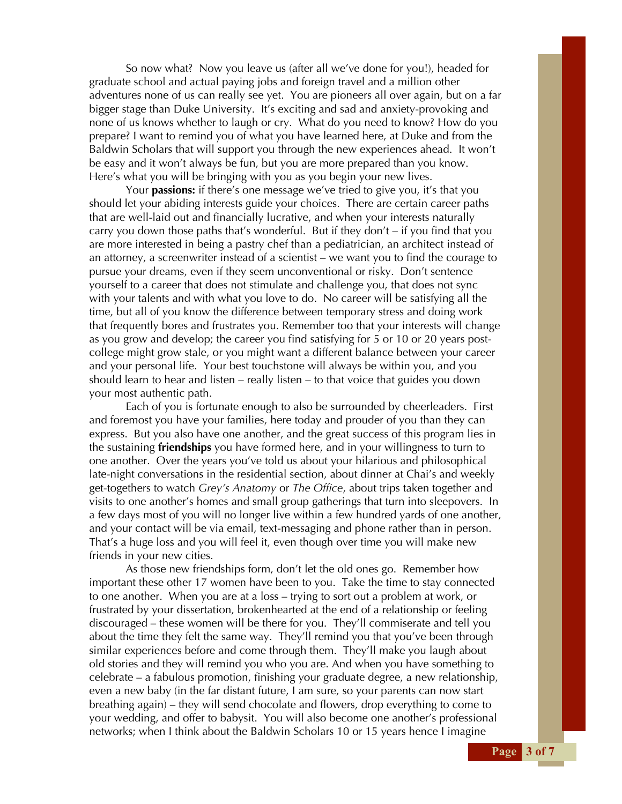So now what? Now you leave us (after all we've done for you!), headed for graduate school and actual paying jobs and foreign travel and a million other adventures none of us can really see yet. You are pioneers all over again, but on a far bigger stage than Duke University. It's exciting and sad and anxiety-provoking and none of us knows whether to laugh or cry. What do you need to know? How do you prepare? I want to remind you of what you have learned here, at Duke and from the Baldwin Scholars that will support you through the new experiences ahead. It won't be easy and it won't always be fun, but you are more prepared than you know. Here's what you will be bringing with you as you begin your new lives.

Your **passions:** if there's one message we've tried to give you, it's that you should let your abiding interests guide your choices. There are certain career paths that are well-laid out and financially lucrative, and when your interests naturally carry you down those paths that's wonderful. But if they don't – if you find that you are more interested in being a pastry chef than a pediatrician, an architect instead of an attorney, a screenwriter instead of a scientist – we want you to find the courage to pursue your dreams, even if they seem unconventional or risky. Don't sentence yourself to a career that does not stimulate and challenge you, that does not sync with your talents and with what you love to do. No career will be satisfying all the time, but all of you know the difference between temporary stress and doing work that frequently bores and frustrates you. Remember too that your interests will change as you grow and develop; the career you find satisfying for 5 or 10 or 20 years postcollege might grow stale, or you might want a different balance between your career and your personal life. Your best touchstone will always be within you, and you should learn to hear and listen – really listen – to that voice that guides you down your most authentic path.

Each of you is fortunate enough to also be surrounded by cheerleaders. First and foremost you have your families, here today and prouder of you than they can express. But you also have one another, and the great success of this program lies in the sustaining **friendships** you have formed here, and in your willingness to turn to one another. Over the years you've told us about your hilarious and philosophical late-night conversations in the residential section, about dinner at Chai's and weekly get-togethers to watch *Grey's Anatomy* or *The Office*, about trips taken together and visits to one another's homes and small group gatherings that turn into sleepovers. In a few days most of you will no longer live within a few hundred yards of one another, and your contact will be via email, text-messaging and phone rather than in person. That's a huge loss and you will feel it, even though over time you will make new friends in your new cities.

As those new friendships form, don't let the old ones go. Remember how important these other 17 women have been to you. Take the time to stay connected to one another. When you are at a loss – trying to sort out a problem at work, or frustrated by your dissertation, brokenhearted at the end of a relationship or feeling discouraged – these women will be there for you. They'll commiserate and tell you about the time they felt the same way. They'll remind you that you've been through similar experiences before and come through them. They'll make you laugh about old stories and they will remind you who you are. And when you have something to celebrate – a fabulous promotion, finishing your graduate degree, a new relationship, even a new baby (in the far distant future, I am sure, so your parents can now start breathing again) – they will send chocolate and flowers, drop everything to come to your wedding, and offer to babysit. You will also become one another's professional networks; when I think about the Baldwin Scholars 10 or 15 years hence I imagine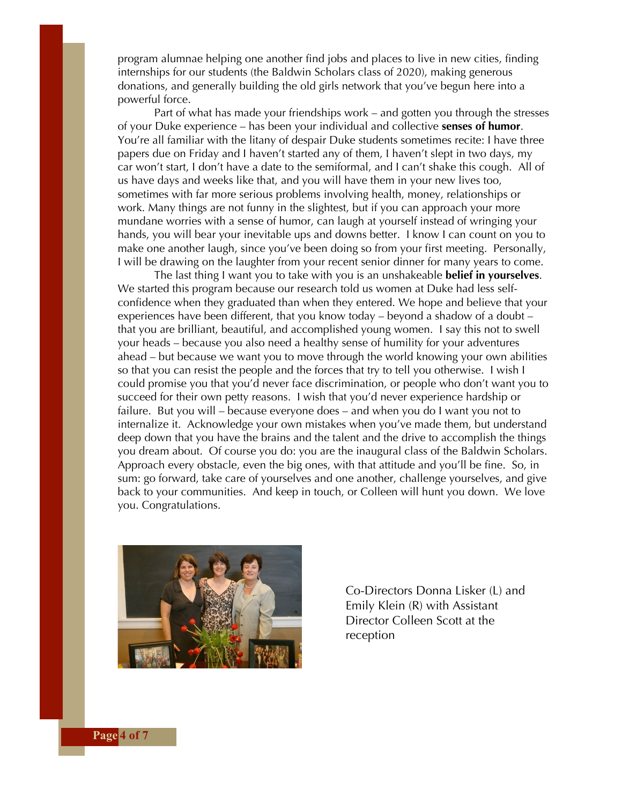program alumnae helping one another find jobs and places to live in new cities, finding internships for our students (the Baldwin Scholars class of 2020), making generous donations, and generally building the old girls network that you've begun here into a powerful force.

Part of what has made your friendships work – and gotten you through the stresses of your Duke experience – has been your individual and collective **senses of humor**. You're all familiar with the litany of despair Duke students sometimes recite: I have three papers due on Friday and I haven't started any of them, I haven't slept in two days, my car won't start, I don't have a date to the semiformal, and I can't shake this cough. All of us have days and weeks like that, and you will have them in your new lives too, sometimes with far more serious problems involving health, money, relationships or work. Many things are not funny in the slightest, but if you can approach your more mundane worries with a sense of humor, can laugh at yourself instead of wringing your hands, you will bear your inevitable ups and downs better. I know I can count on you to make one another laugh, since you've been doing so from your first meeting. Personally, I will be drawing on the laughter from your recent senior dinner for many years to come.

The last thing I want you to take with you is an unshakeable **belief in yourselves**. We started this program because our research told us women at Duke had less selfconfidence when they graduated than when they entered. We hope and believe that your experiences have been different, that you know today – beyond a shadow of a doubt – that you are brilliant, beautiful, and accomplished young women. I say this not to swell your heads – because you also need a healthy sense of humility for your adventures ahead – but because we want you to move through the world knowing your own abilities so that you can resist the people and the forces that try to tell you otherwise. I wish I could promise you that you'd never face discrimination, or people who don't want you to succeed for their own petty reasons. I wish that you'd never experience hardship or failure. But you will – because everyone does – and when you do I want you not to internalize it. Acknowledge your own mistakes when you've made them, but understand deep down that you have the brains and the talent and the drive to accomplish the things you dream about. Of course you do: you are the inaugural class of the Baldwin Scholars. Approach every obstacle, even the big ones, with that attitude and you'll be fine. So, in sum: go forward, take care of yourselves and one another, challenge yourselves, and give back to your communities. And keep in touch, or Colleen will hunt you down. We love you. Congratulations.



Co-Directors Donna Lisker (L) and Emily Klein (R) with Assistant Director Colleen Scott at the reception

**Page** 4 of 7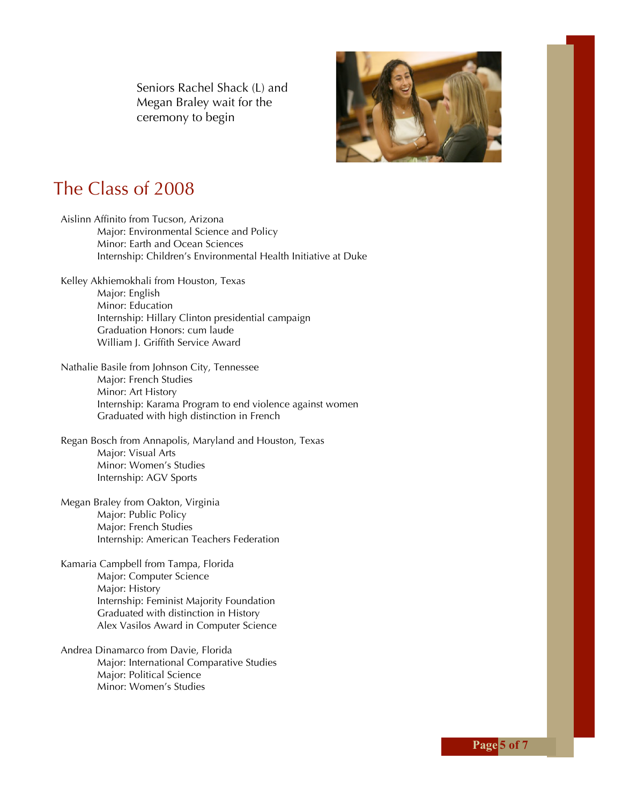Seniors Rachel Shack (L) and Megan Braley wait for the ceremony to begin



## The Class of 2008

Aislinn Affinito from Tucson, Arizona Major: Environmental Science and Policy Minor: Earth and Ocean Sciences Internship: Children's Environmental Health Initiative at Duke Kelley Akhiemokhali from Houston, Texas Major: English Minor: Education Internship: Hillary Clinton presidential campaign Graduation Honors: cum laude William J. Griffith Service Award Nathalie Basile from Johnson City, Tennessee Major: French Studies Minor: Art History Internship: Karama Program to end violence against women Graduated with high distinction in French Regan Bosch from Annapolis, Maryland and Houston, Texas Major: Visual Arts Minor: Women's Studies Internship: AGV Sports Megan Braley from Oakton, Virginia Major: Public Policy Major: French Studies Internship: American Teachers Federation Kamaria Campbell from Tampa, Florida Major: Computer Science Major: History Internship: Feminist Majority Foundation Graduated with distinction in History Alex Vasilos Award in Computer Science

Andrea Dinamarco from Davie, Florida Major: International Comparative Studies Major: Political Science Minor: Women's Studies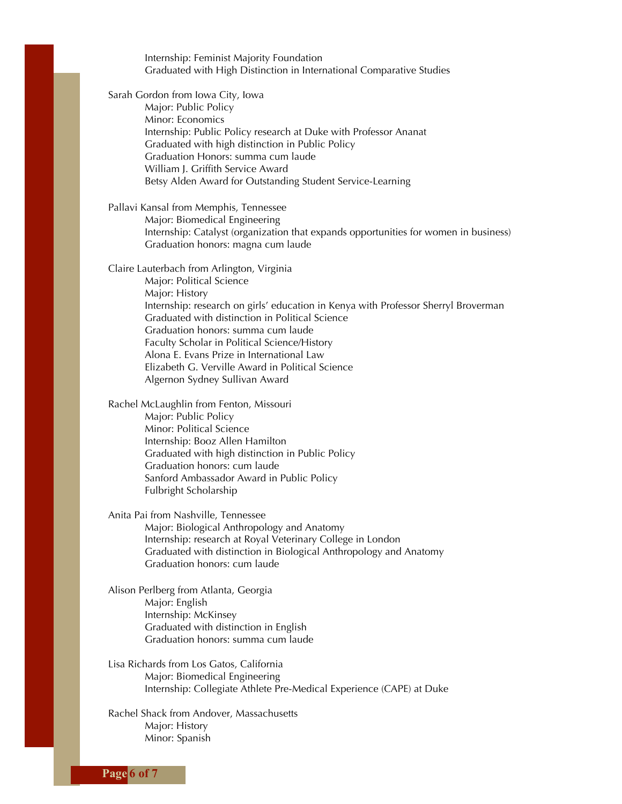Internship: Feminist Majority Foundation Graduated with High Distinction in International Comparative Studies

Sarah Gordon from Iowa City, Iowa

Major: Public Policy Minor: Economics Internship: Public Policy research at Duke with Professor Ananat Graduated with high distinction in Public Policy Graduation Honors: summa cum laude William J. Griffith Service Award Betsy Alden Award for Outstanding Student Service-Learning

Pallavi Kansal from Memphis, Tennessee Major: Biomedical Engineering Internship: Catalyst (organization that expands opportunities for women in business) Graduation honors: magna cum laude

Claire Lauterbach from Arlington, Virginia Major: Political Science Major: History Internship: research on girls' education in Kenya with Professor Sherryl Broverman Graduated with distinction in Political Science Graduation honors: summa cum laude Faculty Scholar in Political Science/History Alona E. Evans Prize in International Law Elizabeth G. Verville Award in Political Science Algernon Sydney Sullivan Award

Rachel McLaughlin from Fenton, Missouri Major: Public Policy Minor: Political Science Internship: Booz Allen Hamilton Graduated with high distinction in Public Policy Graduation honors: cum laude Sanford Ambassador Award in Public Policy Fulbright Scholarship

Anita Pai from Nashville, Tennessee Major: Biological Anthropology and Anatomy Internship: research at Royal Veterinary College in London Graduated with distinction in Biological Anthropology and Anatomy Graduation honors: cum laude

Alison Perlberg from Atlanta, Georgia Major: English Internship: McKinsey Graduated with distinction in English Graduation honors: summa cum laude

Lisa Richards from Los Gatos, California Major: Biomedical Engineering Internship: Collegiate Athlete Pre-Medical Experience (CAPE) at Duke

Rachel Shack from Andover, Massachusetts Major: History Minor: Spanish

**Page 6 of 7**